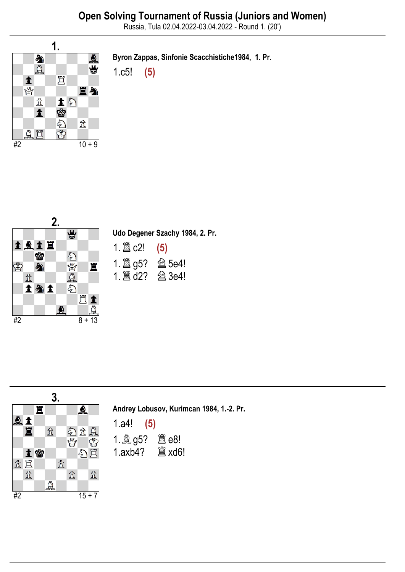Russia, Tula 02.04.2022-03.04.2022 - Round 1. (20')



Byron Zappas, Sinfonie Scacchistiche1984, 1. Pr.

1.c5! (5)



|                         | Udo Degener Szachy 1984, 2. Pr.                   |
|-------------------------|---------------------------------------------------|
| 1. $\mathbb{E}$ c2! (5) |                                                   |
|                         | 1. $\hat{\mathbb{E}}$ g5? $\hat{\mathbb{E}}$ 5e4! |
|                         | 1. 2 d2? 2 3e4!                                   |



Andrey Lobusov, Kurimcan 1984, 1.-2. Pr.

| 1.a4!         | (5)                  |
|---------------|----------------------|
|               |                      |
| $1.$ axb $4?$ | $^{\circ\circ}$ xd6! |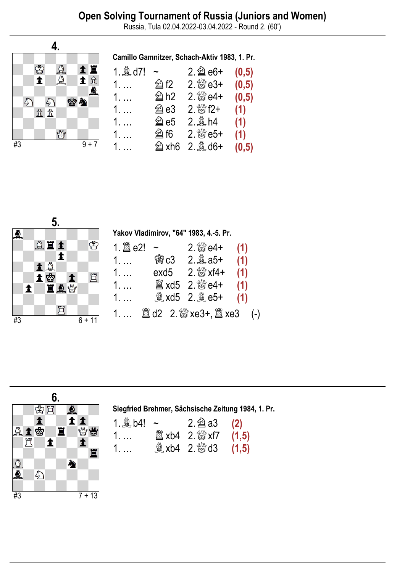Russia, Tula 02.04.2022-03.04.2022 - Round 2. (60')







| 1. $\&$ b4! ~ | $2.\nsubseteq a3$ (2)       |  |
|---------------|-----------------------------|--|
|               | <b>闔 xb4</b> 2. ₩xf7 (1,5)  |  |
| 1.            | <b>1,5</b> xb4 2. &d3 (1,5) |  |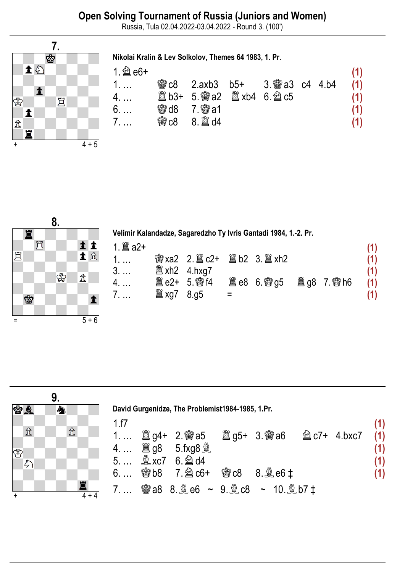Russia, Tula 02.04.2022-03.04.2022 - Round 3. (100')



| $1.2e$ e6+ |                   |                                      |  | (1) |
|------------|-------------------|--------------------------------------|--|-----|
|            |                   | <b>③c8</b> 2.axb3 b5+ 3. ③a3 c4 4.b4 |  | (1) |
|            |                   |                                      |  | (1) |
| 6.         | <b>会d8 7. 窗a1</b> |                                      |  | (1) |
| 7.         | <b>幽c8 8.  d4</b> |                                      |  | (1) |
|            |                   |                                      |  |     |



<mark>7.</mark><br>會

 $\Xi$ 

土匀

 $\mathbb{B}$ 

 $\hat{\mathbb{Z}}$ 

 $\overline{\mathbf{1}}$ 

 $\mathbf{H}$ 

 $\ddagger$ 

 $\overline{4 + 5}$ 

|                                 | Velimir Kalandadze, Sagaredzho Ty Ivris Gantadi 1984, 1.-2. Pr. |  |  |                   |
|---------------------------------|-----------------------------------------------------------------|--|--|-------------------|
| 1. $\hat{\mathbb{E}}$ a2+<br>1. | <b>彎 xa2</b> 2. 圖 c2+ 圖 b2 3. 圖 xh2                             |  |  | (1)<br>(1)        |
| 4.<br>7.                        | $\hat{\Xi}$ e2+ 5. 彎 f4 $\Xi$ e8 6. 彎 q5 $\Xi$ q8 7. 彎 h6       |  |  | (1)<br>(1)<br>(1) |

|           |              | 9. |                    |             |                                                  |                   |  |            |
|-----------|--------------|----|--------------------|-------------|--------------------------------------------------|-------------------|--|------------|
|           | <b>SA</b>    | ♠  |                    |             | David Gurgenidze, The Problemist1984-1985, 1.Pr. |                   |  |            |
|           | 岔            |    | $\mathbb{\hat{X}}$ | 1.f7        | 1 圖 g4+ 2. 彎 a5 圖 g5+ 3. 彎 a6 2 c7+ 4.bxc7       |                   |  | (1)<br>(1) |
| ♔         | $\mathbb{Z}$ |    |                    |             | 5 <b>Axc7</b> 6. 2d4                             |                   |  | (1)        |
|           |              |    |                    | $6. \ldots$ | <b>彎b8 7.@c6+</b>                                | <b>鬱c8 8.奠e6‡</b> |  |            |
| $\ddot{}$ |              |    | 罝<br>$4 + 4$       |             | 7 窗a8 8.奠e6 ~ 9.奠c8 ~ 10.奠b7‡                    |                   |  |            |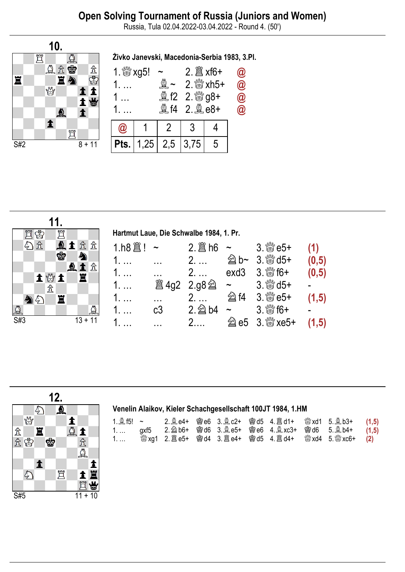# Open Solving Tournament of Russia (Juniors and Women)

Russia, Tula 02.04.2022-03.04.2022 - Round 4. (50')







#### Venelin Alaikov, Kieler Schachgesellschaft 100JT 1984, 1.HM

| 1. $\triangleq$ f5! $\sim$ |  |  |  | 2.奠e4+ 曾e6 3.奠c2+ 曾d5 4.置d1+ 營xd1 5.奠b3+ (1,5) |  |
|----------------------------|--|--|--|------------------------------------------------|--|
|                            |  |  |  |                                                |  |
| 1.                         |  |  |  |                                                |  |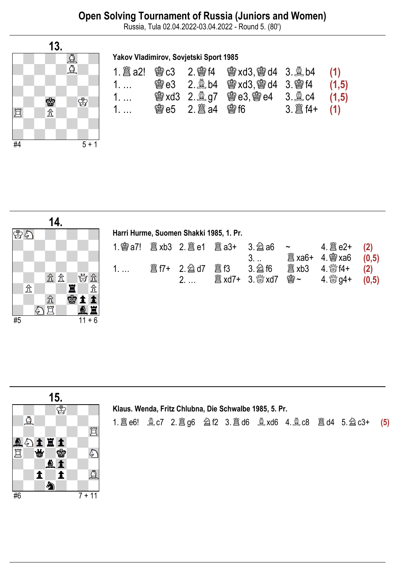## Open Solving Tournament of Russia (Juniors and Women)

Russia, Tula 02.04.2022-03.04.2022 - Round 5. (80')



### Yakov Vladimirov, Sovjetski Sport 1985

|    |  | <b>@e3</b> 2. @b4 @exd3, @ed4 3. @ef4 (1,5)   |                                  |  |
|----|--|-----------------------------------------------|----------------------------------|--|
| 1. |  | <b>③ xd3 2. 鼻 g7 曾 e3, 曾 e4 3. 鼻 c4 (1,5)</b> |                                  |  |
| 1. |  |                                               | $3. \  \  \, \mathbb{E}$ f4+ (1) |  |

|    |                                     |    | 14. |    |   |          |             |  |                                         |         |                         |                                                        |                  |
|----|-------------------------------------|----|-----|----|---|----------|-------------|--|-----------------------------------------|---------|-------------------------|--------------------------------------------------------|------------------|
| 图象 |                                     |    |     |    |   |          |             |  | Harri Hurme, Suomen Shakki 1985, 1. Pr. |         |                         |                                                        |                  |
|    |                                     |    |     |    |   |          |             |  |                                         | $3.$    | $\sim$ $\sim$<br>闔 ха6+ | $4.$ @ $xab$                                           | (2)<br>(0,5)     |
|    |                                     |    |     | 岔岔 |   | 曾立       | $1. \ldots$ |  |                                         | 3. 2 f6 | 闔 xb3                   | $4.$ $\frac{80}{100}$ f4+<br>$4.$ $\frac{100}{20}$ g4+ | $(2)$<br>$(0,5)$ |
|    | $\mathcal{\mathcal{\hat{I}}}% _{T}$ |    |     |    |   | 岔        |             |  |                                         |         |                         |                                                        |                  |
|    |                                     |    | ⇬   |    | ф |          |             |  |                                         |         |                         |                                                        |                  |
|    |                                     | の買 |     |    |   |          |             |  |                                         |         |                         |                                                        |                  |
| #5 |                                     |    |     |    |   | $11 + 6$ |             |  |                                         |         |                         |                                                        |                  |



### Klaus. Wenda, Fritz Chlubna, Die Schwalbe 1985, 5. Pr.

1.♖e6! ♗c7 2.♖g6 ♘f2 3.♖d6 ♗xd6 4.♗c8 ♖d4 5.♘c3+ (5)